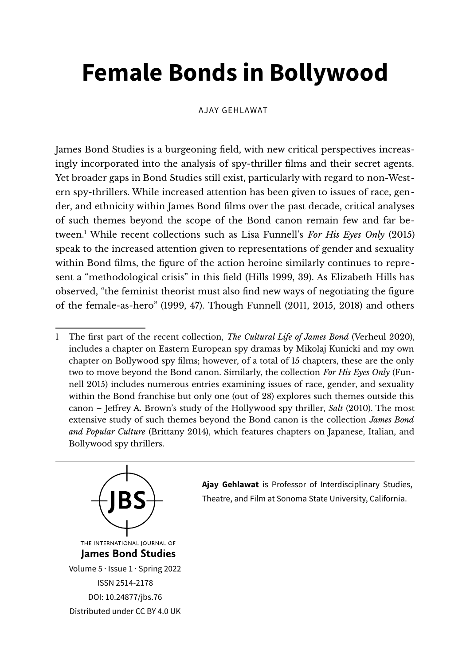# **Female Bonds in Bollywood**

AJAY GEHLAWAT

James Bond Studies is a burgeoning feld, with new critical perspectives increasingly incorporated into the analysis of spy-thriller flms and their secret agents. Yet broader gaps in Bond Studies still exist, particularly with regard to non-Western spy-thrillers. While increased attention has been given to issues of race, gender, and ethnicity within James Bond flms over the past decade, critical analyses of such themes beyond the scope of the Bond canon remain few and far between.[1](#page-0-0) While recent collections such as Lisa Funnell's *For His Eyes Only* (2015) speak to the increased attention given to representations of gender and sexuality within Bond flms, the fgure of the action heroine similarly continues to represent a "methodological crisis" in this feld (Hills 1999, 39). As Elizabeth Hills has observed, "the feminist theorist must also fnd new ways of negotiating the fgure of the female-as-hero" (1999, 47). Though Funnell (2011, 2015, 2018) and others

<span id="page-0-0"></span><sup>1</sup> The frst part of the recent collection, *The Cultural Life of James Bond* (Verheul 2020), includes a chapter on Eastern European spy dramas by Mikolaj Kunicki and my own chapter on Bollywood spy films; however, of a total of 15 chapters, these are the only two to move beyond the Bond canon. Similarly, the collection *For His Eyes Only* (Funnell 2015) includes numerous entries examining issues of race, gender, and sexuality within the Bond franchise but only one (out of 28) explores such themes outside this canon – Jefrey A. Brown's study of the Hollywood spy thriller, *Salt* (2010). The most extensive study of such themes beyond the Bond canon is the collection *James Bond and Popular Culture* (Brittany 2014), which features chapters on Japanese, Italian, and Bollywood spy thrillers.



**Ajay Gehlawat** is Professor of Interdisciplinary Studies, Theatre, and Film at Sonoma State University, California.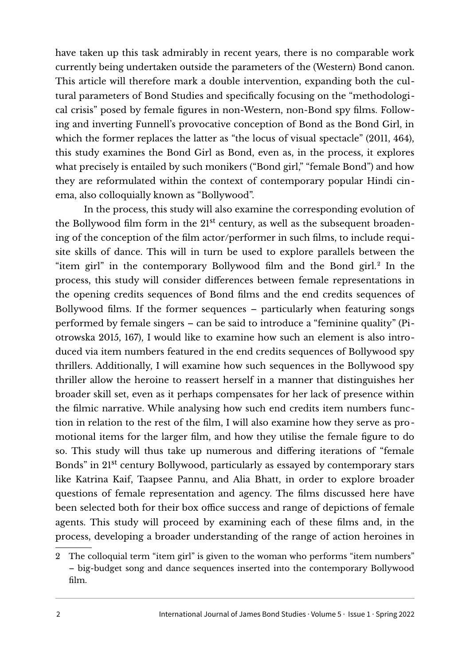have taken up this task admirably in recent years, there is no comparable work currently being undertaken outside the parameters of the (Western) Bond canon. This article will therefore mark a double intervention, expanding both the cultural parameters of Bond Studies and specifcally focusing on the "methodological crisis" posed by female fgures in non-Western, non-Bond spy flms. Following and inverting Funnell's provocative conception of Bond as the Bond Girl, in which the former replaces the latter as "the locus of visual spectacle" (2011, 464), this study examines the Bond Girl as Bond, even as, in the process, it explores what precisely is entailed by such monikers ("Bond girl," "female Bond") and how they are reformulated within the context of contemporary popular Hindi cinema, also colloquially known as "Bollywood".

In the process, this study will also examine the corresponding evolution of the Bollywood film form in the 21<sup>st</sup> century, as well as the subsequent broadening of the conception of the flm actor/performer in such flms, to include requisite skills of dance. This will in turn be used to explore parallels between the "item girl" in the contemporary Bollywood flm and the Bond girl.[2](#page-1-0) In the process, this study will consider diferences between female representations in the opening credits sequences of Bond flms and the end credits sequences of Bollywood flms. If the former sequences – particularly when featuring songs performed by female singers – can be said to introduce a "feminine quality" (Piotrowska 2015, 167), I would like to examine how such an element is also introduced via item numbers featured in the end credits sequences of Bollywood spy thrillers. Additionally, I will examine how such sequences in the Bollywood spy thriller allow the heroine to reassert herself in a manner that distinguishes her broader skill set, even as it perhaps compensates for her lack of presence within the flmic narrative. While analysing how such end credits item numbers function in relation to the rest of the flm, I will also examine how they serve as promotional items for the larger flm, and how they utilise the female fgure to do so. This study will thus take up numerous and difering iterations of "female Bonds" in 21st century Bollywood, particularly as essayed by contemporary stars like Katrina Kaif, Taapsee Pannu, and Alia Bhatt, in order to explore broader questions of female representation and agency. The flms discussed here have been selected both for their box office success and range of depictions of female agents. This study will proceed by examining each of these flms and, in the process, developing a broader understanding of the range of action heroines in

<span id="page-1-0"></span><sup>2</sup> The colloquial term "item girl" is given to the woman who performs "item numbers" – big-budget song and dance sequences inserted into the contemporary Bollywood flm.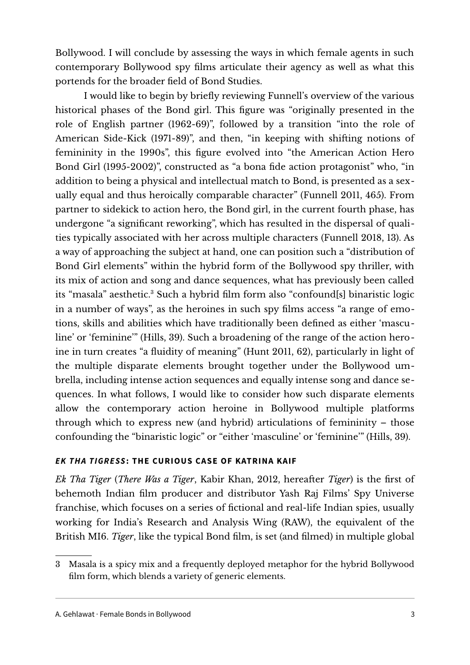Bollywood. I will conclude by assessing the ways in which female agents in such contemporary Bollywood spy flms articulate their agency as well as what this portends for the broader feld of Bond Studies.

I would like to begin by briefy reviewing Funnell's overview of the various historical phases of the Bond girl. This fgure was "originally presented in the role of English partner (1962-69)", followed by a transition "into the role of American Side-Kick (1971-89)", and then, "in keeping with shifing notions of femininity in the 1990s", this fgure evolved into "the American Action Hero Bond Girl (1995-2002)", constructed as "a bona fde action protagonist" who, "in addition to being a physical and intellectual match to Bond, is presented as a sexually equal and thus heroically comparable character" (Funnell 2011, 465). From partner to sidekick to action hero, the Bond girl, in the current fourth phase, has undergone "a signifcant reworking", which has resulted in the dispersal of qualities typically associated with her across multiple characters (Funnell 2018, 13). As a way of approaching the subject at hand, one can position such a "distribution of Bond Girl elements" within the hybrid form of the Bollywood spy thriller, with its mix of action and song and dance sequences, what has previously been called its "masala" aesthetic.<sup>[3](#page-2-0)</sup> Such a hybrid film form also "confound[s] binaristic logic in a number of ways", as the heroines in such spy flms access "a range of emotions, skills and abilities which have traditionally been defned as either 'masculine' or 'feminine'" (Hills, 39). Such a broadening of the range of the action heroine in turn creates "a fuidity of meaning" (Hunt 2011, 62), particularly in light of the multiple disparate elements brought together under the Bollywood umbrella, including intense action sequences and equally intense song and dance sequences. In what follows, I would like to consider how such disparate elements allow the contemporary action heroine in Bollywood multiple platforms through which to express new (and hybrid) articulations of femininity – those confounding the "binaristic logic" or "either 'masculine' or 'feminine'" (Hills, 39).

## *EK THA TIGRESS***: THE CURIOUS CASE OF KATRINA KAIF**

*Ek Tha Tiger* (*There Was a Tiger*, Kabir Khan, 2012, hereafer *Tiger*) is the frst of behemoth Indian flm producer and distributor Yash Raj Films' Spy Universe franchise, which focuses on a series of fctional and real-life Indian spies, usually working for India's Research and Analysis Wing (RAW), the equivalent of the British MI6. *Tiger*, like the typical Bond flm, is set (and flmed) in multiple global

<span id="page-2-0"></span><sup>3</sup> Masala is a spicy mix and a frequently deployed metaphor for the hybrid Bollywood film form, which blends a variety of generic elements.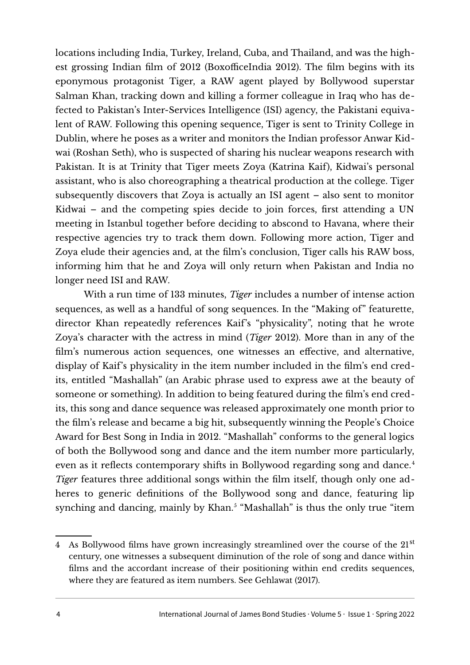locations including India, Turkey, Ireland, Cuba, and Thailand, and was the highest grossing Indian film of  $2012$  (BoxofficeIndia 2012). The film begins with its eponymous protagonist Tiger, a RAW agent played by Bollywood superstar Salman Khan, tracking down and killing a former colleague in Iraq who has defected to Pakistan's Inter-Services Intelligence (ISI) agency, the Pakistani equivalent of RAW. Following this opening sequence, Tiger is sent to Trinity College in Dublin, where he poses as a writer and monitors the Indian professor Anwar Kidwai (Roshan Seth), who is suspected of sharing his nuclear weapons research with Pakistan. It is at Trinity that Tiger meets Zoya (Katrina Kaif), Kidwai's personal assistant, who is also choreographing a theatrical production at the college. Tiger subsequently discovers that Zoya is actually an ISI agent – also sent to monitor Kidwai – and the competing spies decide to join forces, frst attending a UN meeting in Istanbul together before deciding to abscond to Havana, where their respective agencies try to track them down. Following more action, Tiger and Zoya elude their agencies and, at the flm's conclusion, Tiger calls his RAW boss, informing him that he and Zoya will only return when Pakistan and India no longer need ISI and RAW.

With a run time of 133 minutes, *Tiger* includes a number of intense action sequences, as well as a handful of song sequences. In the "Making of" featurette, director Khan repeatedly references Kaif's "physicality", noting that he wrote Zoya's character with the actress in mind (*Tiger* 2012). More than in any of the flm's numerous action sequences, one witnesses an efective, and alternative, display of Kaif's physicality in the item number included in the flm's end credits, entitled "Mashallah" (an Arabic phrase used to express awe at the beauty of someone or something). In addition to being featured during the flm's end credits, this song and dance sequence was released approximately one month prior to the flm's release and became a big hit, subsequently winning the People's Choice Award for Best Song in India in 2012. "Mashallah" conforms to the general logics of both the Bollywood song and dance and the item number more particularly, even as it reflects contemporary shifts in Bollywood regarding song and dance.<sup>[4](#page-3-0)</sup> *Tiger* features three additional songs within the film itself, though only one adheres to generic defnitions of the Bollywood song and dance, featuring lip synching and dancing, mainly by Khan.<sup>5</sup> "Mashallah" is thus the only true "item

<span id="page-3-0"></span><sup>4</sup> As Bollywood films have grown increasingly streamlined over the course of the 21<sup>st</sup> century, one witnesses a subsequent diminution of the role of song and dance within flms and the accordant increase of their positioning within end credits sequences, where they are featured as item numbers. See Gehlawat (2017).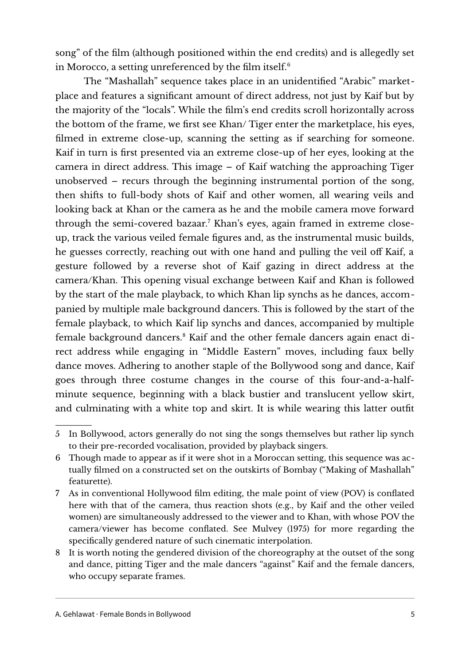song" of the flm (although positioned within the end credits) and is allegedly set in Morocco, a setting unreferenced by the film itself. $6$ 

The "Mashallah" sequence takes place in an unidentifed "Arabic" marketplace and features a signifcant amount of direct address, not just by Kaif but by the majority of the "locals". While the flm's end credits scroll horizontally across the bottom of the frame, we frst see Khan/ Tiger enter the marketplace, his eyes, flmed in extreme close-up, scanning the setting as if searching for someone. Kaif in turn is frst presented via an extreme close-up of her eyes, looking at the camera in direct address. This image – of Kaif watching the approaching Tiger unobserved – recurs through the beginning instrumental portion of the song, then shifs to full-body shots of Kaif and other women, all wearing veils and looking back at Khan or the camera as he and the mobile camera move forward through the semi-covered bazaar.[7](#page-4-1) Khan's eyes, again framed in extreme closeup, track the various veiled female fgures and, as the instrumental music builds, he guesses correctly, reaching out with one hand and pulling the veil of Kaif, a gesture followed by a reverse shot of Kaif gazing in direct address at the camera/Khan. This opening visual exchange between Kaif and Khan is followed by the start of the male playback, to which Khan lip synchs as he dances, accompanied by multiple male background dancers. This is followed by the start of the female playback, to which Kaif lip synchs and dances, accompanied by multiple female background dancers.<sup>[8](#page-4-2)</sup> Kaif and the other female dancers again enact direct address while engaging in "Middle Eastern" moves, including faux belly dance moves. Adhering to another staple of the Bollywood song and dance, Kaif goes through three costume changes in the course of this four-and-a-halfminute sequence, beginning with a black bustier and translucent yellow skirt, and culminating with a white top and skirt. It is while wearing this latter outft

<sup>5</sup> In Bollywood, actors generally do not sing the songs themselves but rather lip synch to their pre-recorded vocalisation, provided by playback singers.

<span id="page-4-0"></span><sup>6</sup> Though made to appear as if it were shot in a Moroccan setting, this sequence was actually flmed on a constructed set on the outskirts of Bombay ("Making of Mashallah" featurette).

<span id="page-4-1"></span><sup>7</sup> As in conventional Hollywood flm editing, the male point of view (POV) is confated here with that of the camera, thus reaction shots (e.g., by Kaif and the other veiled women) are simultaneously addressed to the viewer and to Khan, with whose POV the camera/viewer has become confated. See Mulvey (1975) for more regarding the specifcally gendered nature of such cinematic interpolation.

<span id="page-4-2"></span><sup>8</sup> It is worth noting the gendered division of the choreography at the outset of the song and dance, pitting Tiger and the male dancers "against" Kaif and the female dancers, who occupy separate frames.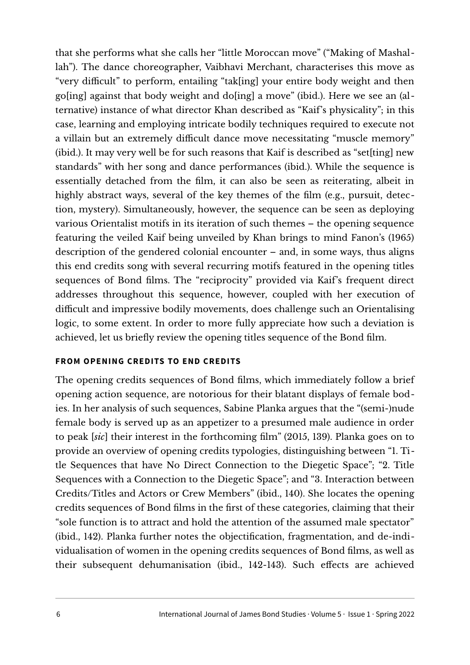that she performs what she calls her "little Moroccan move" ("Making of Mashallah"). The dance choreographer, Vaibhavi Merchant, characterises this move as "very difficult" to perform, entailing "tak[ing] your entire body weight and then go[ing] against that body weight and do[ing] a move" (ibid.). Here we see an (alternative) instance of what director Khan described as "Kaif's physicality"; in this case, learning and employing intricate bodily techniques required to execute not a villain but an extremely difficult dance move necessitating "muscle memory" (ibid.). It may very well be for such reasons that Kaif is described as "set[ting] new standards" with her song and dance performances (ibid.). While the sequence is essentially detached from the flm, it can also be seen as reiterating, albeit in highly abstract ways, several of the key themes of the flm (e.g., pursuit, detection, mystery). Simultaneously, however, the sequence can be seen as deploying various Orientalist motifs in its iteration of such themes – the opening sequence featuring the veiled Kaif being unveiled by Khan brings to mind Fanon's (1965) description of the gendered colonial encounter – and, in some ways, thus aligns this end credits song with several recurring motifs featured in the opening titles sequences of Bond flms. The "reciprocity" provided via Kaif's frequent direct addresses throughout this sequence, however, coupled with her execution of difcult and impressive bodily movements, does challenge such an Orientalising logic, to some extent. In order to more fully appreciate how such a deviation is achieved, let us briefy review the opening titles sequence of the Bond flm.

## **FROM OPENING CREDITS TO END CREDITS**

The opening credits sequences of Bond flms, which immediately follow a brief opening action sequence, are notorious for their blatant displays of female bodies. In her analysis of such sequences, Sabine Planka argues that the "(semi-)nude female body is served up as an appetizer to a presumed male audience in order to peak [*sic*] their interest in the forthcoming flm" (2015, 139). Planka goes on to provide an overview of opening credits typologies, distinguishing between "1. Title Sequences that have No Direct Connection to the Diegetic Space"; "2. Title Sequences with a Connection to the Diegetic Space"; and "3. Interaction between Credits/Titles and Actors or Crew Members" (ibid., 140). She locates the opening credits sequences of Bond flms in the frst of these categories, claiming that their "sole function is to attract and hold the attention of the assumed male spectator" (ibid., 142). Planka further notes the objectifcation, fragmentation, and de-individualisation of women in the opening credits sequences of Bond flms, as well as their subsequent dehumanisation (ibid., 142-143). Such efects are achieved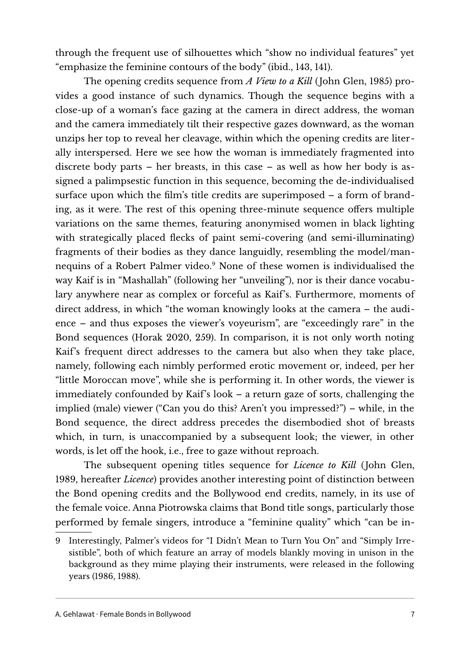through the frequent use of silhouettes which "show no individual features" yet "emphasize the feminine contours of the body" (ibid., 143, 141).

The opening credits sequence from *A View to a Kill* (John Glen, 1985) provides a good instance of such dynamics. Though the sequence begins with a close-up of a woman's face gazing at the camera in direct address, the woman and the camera immediately tilt their respective gazes downward, as the woman unzips her top to reveal her cleavage, within which the opening credits are literally interspersed. Here we see how the woman is immediately fragmented into discrete body parts – her breasts, in this case – as well as how her body is assigned a palimpsestic function in this sequence, becoming the de-individualised surface upon which the flm's title credits are superimposed – a form of branding, as it were. The rest of this opening three-minute sequence offers multiple variations on the same themes, featuring anonymised women in black lighting with strategically placed fecks of paint semi-covering (and semi-illuminating) fragments of their bodies as they dance languidly, resembling the model/man-nequins of a Robert Palmer video.<sup>[9](#page-6-0)</sup> None of these women is individualised the way Kaif is in "Mashallah" (following her "unveiling"), nor is their dance vocabulary anywhere near as complex or forceful as Kaif's. Furthermore, moments of direct address, in which "the woman knowingly looks at the camera – the audience – and thus exposes the viewer's voyeurism", are "exceedingly rare" in the Bond sequences (Horak 2020, 259). In comparison, it is not only worth noting Kaif's frequent direct addresses to the camera but also when they take place, namely, following each nimbly performed erotic movement or, indeed, per her "little Moroccan move", while she is performing it. In other words, the viewer is immediately confounded by Kaif's look – a return gaze of sorts, challenging the implied (male) viewer ("Can you do this? Aren't you impressed?") – while, in the Bond sequence, the direct address precedes the disembodied shot of breasts which, in turn, is unaccompanied by a subsequent look; the viewer, in other words, is let off the hook, i.e., free to gaze without reproach.

The subsequent opening titles sequence for *Licence to Kill* (John Glen, 1989, hereafer *Licence*) provides another interesting point of distinction between the Bond opening credits and the Bollywood end credits, namely, in its use of the female voice. Anna Piotrowska claims that Bond title songs, particularly those performed by female singers, introduce a "feminine quality" which "can be in-

<span id="page-6-0"></span><sup>9</sup> Interestingly, Palmer's videos for "I Didn't Mean to Turn You On" and "Simply Irresistible", both of which feature an array of models blankly moving in unison in the background as they mime playing their instruments, were released in the following years (1986, 1988).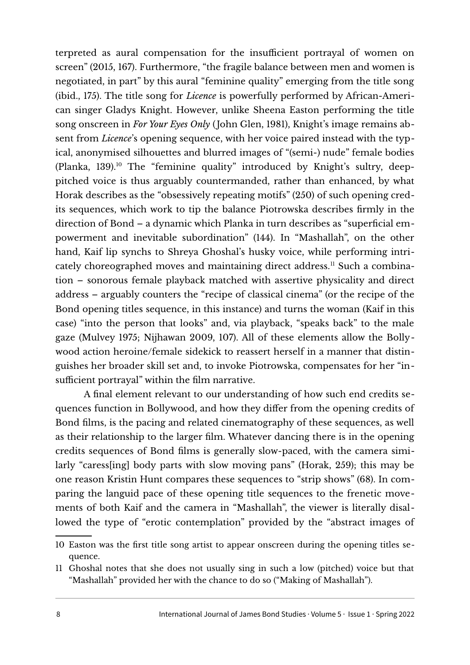terpreted as aural compensation for the insufficient portrayal of women on screen" (2015, 167). Furthermore, "the fragile balance between men and women is negotiated, in part" by this aural "feminine quality" emerging from the title song (ibid., 175). The title song for *Licence* is powerfully performed by African-American singer Gladys Knight. However, unlike Sheena Easton performing the title song onscreen in *For Your Eyes Only* (John Glen, 1981), Knight's image remains absent from *Licence*'s opening sequence, with her voice paired instead with the typical, anonymised silhouettes and blurred images of "(semi-) nude" female bodies (Planka, 139).<sup>[10](#page-7-0)</sup> The "feminine quality" introduced by Knight's sultry, deeppitched voice is thus arguably countermanded, rather than enhanced, by what Horak describes as the "obsessively repeating motifs" (250) of such opening credits sequences, which work to tip the balance Piotrowska describes frmly in the direction of Bond – a dynamic which Planka in turn describes as "superfcial empowerment and inevitable subordination" (144). In "Mashallah", on the other hand, Kaif lip synchs to Shreya Ghoshal's husky voice, while performing intri-cately choreographed moves and maintaining direct address.<sup>[11](#page-7-1)</sup> Such a combination – sonorous female playback matched with assertive physicality and direct address – arguably counters the "recipe of classical cinema" (or the recipe of the Bond opening titles sequence, in this instance) and turns the woman (Kaif in this case) "into the person that looks" and, via playback, "speaks back" to the male gaze (Mulvey 1975; Nijhawan 2009, 107). All of these elements allow the Bollywood action heroine/female sidekick to reassert herself in a manner that distinguishes her broader skill set and, to invoke Piotrowska, compensates for her "insufficient portrayal" within the film narrative.

A fnal element relevant to our understanding of how such end credits sequences function in Bollywood, and how they difer from the opening credits of Bond flms, is the pacing and related cinematography of these sequences, as well as their relationship to the larger flm. Whatever dancing there is in the opening credits sequences of Bond flms is generally slow-paced, with the camera similarly "caress [ing] body parts with slow moving pans" (Horak, 259); this may be one reason Kristin Hunt compares these sequences to "strip shows" (68). In comparing the languid pace of these opening title sequences to the frenetic movements of both Kaif and the camera in "Mashallah", the viewer is literally disallowed the type of "erotic contemplation" provided by the "abstract images of

<span id="page-7-0"></span><sup>10</sup> Easton was the frst title song artist to appear onscreen during the opening titles sequence.

<span id="page-7-1"></span><sup>11</sup> Ghoshal notes that she does not usually sing in such a low (pitched) voice but that "Mashallah" provided her with the chance to do so ("Making of Mashallah").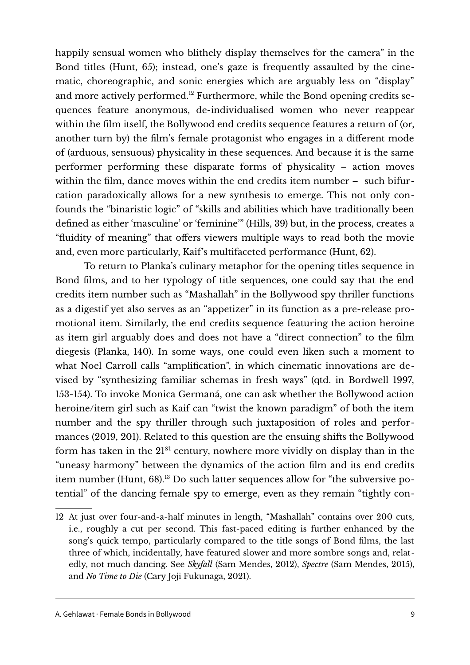happily sensual women who blithely display themselves for the camera" in the Bond titles (Hunt,  $65$ ); instead, one's gaze is frequently assaulted by the cinematic, choreographic, and sonic energies which are arguably less on "display" and more actively performed.[12](#page-8-0) Furthermore, while the Bond opening credits sequences feature anonymous, de-individualised women who never reappear within the flm itself, the Bollywood end credits sequence features a return of (or, another turn by) the flm's female protagonist who engages in a diferent mode of (arduous, sensuous) physicality in these sequences. And because it is the same performer performing these disparate forms of physicality – action moves within the flm, dance moves within the end credits item number – such bifurcation paradoxically allows for a new synthesis to emerge. This not only confounds the "binaristic logic" of "skills and abilities which have traditionally been defned as either 'masculine' or 'feminine'" (Hills, 39) but, in the process, creates a "fluidity of meaning" that offers viewers multiple ways to read both the movie and, even more particularly, Kaif's multifaceted performance (Hunt, 62).

To return to Planka's culinary metaphor for the opening titles sequence in Bond flms, and to her typology of title sequences, one could say that the end credits item number such as "Mashallah" in the Bollywood spy thriller functions as a digestif yet also serves as an "appetizer" in its function as a pre-release promotional item. Similarly, the end credits sequence featuring the action heroine as item girl arguably does and does not have a "direct connection" to the flm diegesis (Planka, 140). In some ways, one could even liken such a moment to what Noel Carroll calls "amplifcation", in which cinematic innovations are devised by "synthesizing familiar schemas in fresh ways" (qtd. in Bordwell 1997, 153-154). To invoke Monica Germaná, one can ask whether the Bollywood action heroine/item girl such as Kaif can "twist the known paradigm" of both the item number and the spy thriller through such juxtaposition of roles and performances (2019, 201). Related to this question are the ensuing shifs the Bollywood form has taken in the  $21^{st}$  century, nowhere more vividly on display than in the "uneasy harmony" between the dynamics of the action flm and its end credits item number (Hunt, 68).13 Do such latter sequences allow for "the subversive potential" of the dancing female spy to emerge, even as they remain "tightly con-

<span id="page-8-0"></span><sup>12</sup> At just over four-and-a-half minutes in length, "Mashallah" contains over 200 cuts, i.e., roughly a cut per second. This fast-paced editing is further enhanced by the song's quick tempo, particularly compared to the title songs of Bond flms, the last three of which, incidentally, have featured slower and more sombre songs and, relatedly, not much dancing. See *Skyfall* (Sam Mendes, 2012), *Spectre* (Sam Mendes, 2015), and *No Time to Die* (Cary Joji Fukunaga, 2021).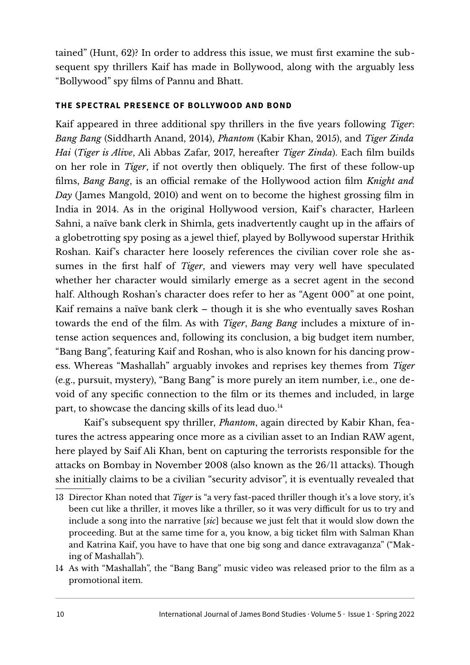tained" (Hunt, 62)? In order to address this issue, we must frst examine the subsequent spy thrillers Kaif has made in Bollywood, along with the arguably less "Bollywood" spy flms of Pannu and Bhatt.

## **THE SPECTRAL PRESENCE OF BOLLYWOOD AND BOND**

Kaif appeared in three additional spy thrillers in the fve years following *Tiger*: *Bang Bang* (Siddharth Anand, 2014), *Phantom* (Kabir Khan, 2015), and *Tiger Zinda Hai* (*Tiger is Alive*, Ali Abbas Zafar, 2017, hereafer *Tiger Zinda*). Each flm builds on her role in *Tiger*, if not overtly then obliquely. The frst of these follow-up films, *Bang Bang*, is an official remake of the Hollywood action film *Knight and Day* (James Mangold, 2010) and went on to become the highest grossing flm in India in 2014. As in the original Hollywood version, Kaif's character, Harleen Sahni, a naïve bank clerk in Shimla, gets inadvertently caught up in the affairs of a globetrotting spy posing as a jewel thief, played by Bollywood superstar Hrithik Roshan. Kaif's character here loosely references the civilian cover role she assumes in the frst half of *Tiger*, and viewers may very well have speculated whether her character would similarly emerge as a secret agent in the second half. Although Roshan's character does refer to her as "Agent 000" at one point, Kaif remains a naïve bank clerk – though it is she who eventually saves Roshan towards the end of the flm. As with *Tiger*, *Bang Bang* includes a mixture of intense action sequences and, following its conclusion, a big budget item number, "Bang Bang", featuring Kaif and Roshan, who is also known for his dancing prowess. Whereas "Mashallah" arguably invokes and reprises key themes from *Tiger* (e.g., pursuit, mystery), "Bang Bang" is more purely an item number, i.e., one devoid of any specifc connection to the flm or its themes and included, in large part, to showcase the dancing skills of its lead duo.<sup>[14](#page-9-0)</sup>

Kaif's subsequent spy thriller, *Phantom*, again directed by Kabir Khan, features the actress appearing once more as a civilian asset to an Indian RAW agent, here played by Saif Ali Khan, bent on capturing the terrorists responsible for the attacks on Bombay in November 2008 (also known as the 26/11 attacks). Though she initially claims to be a civilian "security advisor", it is eventually revealed that

<span id="page-9-0"></span>14 As with "Mashallah", the "Bang Bang" music video was released prior to the flm as a promotional item.

<sup>13</sup> Director Khan noted that *Tiger* is "a very fast-paced thriller though it's a love story, it's been cut like a thriller, it moves like a thriller, so it was very difficult for us to try and include a song into the narrative [*sic*] because we just felt that it would slow down the proceeding. But at the same time for a, you know, a big ticket flm with Salman Khan and Katrina Kaif, you have to have that one big song and dance extravaganza" ("Making of Mashallah").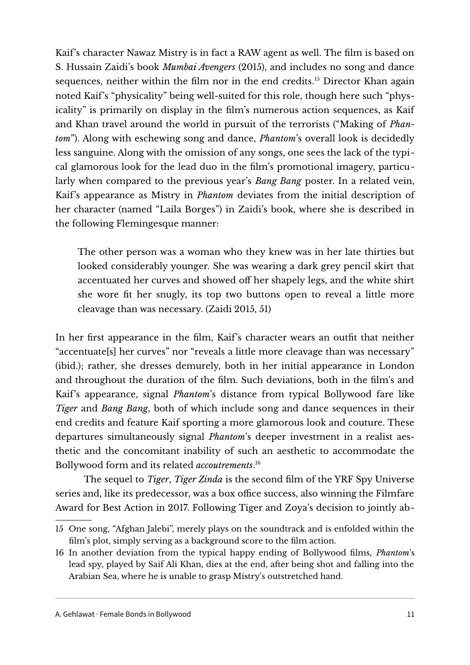Kaif's character Nawaz Mistry is in fact a RAW agent as well. The flm is based on S. Hussain Zaidi's book *Mumbai Avengers* (2015), and includes no song and dance sequences, neither within the film nor in the end credits.<sup>[15](#page-10-0)</sup> Director Khan again noted Kaif's "physicality" being well-suited for this role, though here such "physicality" is primarily on display in the flm's numerous action sequences, as Kaif and Khan travel around the world in pursuit of the terrorists ("Making of *Phantom*"). Along with eschewing song and dance, *Phantom*'s overall look is decidedly less sanguine. Along with the omission of any songs, one sees the lack of the typical glamorous look for the lead duo in the flm's promotional imagery, particularly when compared to the previous year's *Bang Bang* poster. In a related vein, Kaif's appearance as Mistry in *Phantom* deviates from the initial description of her character (named "Laila Borges") in Zaidi's book, where she is described in the following Flemingesque manner:

The other person was a woman who they knew was in her late thirties but looked considerably younger. She was wearing a dark grey pencil skirt that accentuated her curves and showed off her shapely legs, and the white shirt she wore ft her snugly, its top two buttons open to reveal a little more cleavage than was necessary. (Zaidi 2015, 51)

In her frst appearance in the flm, Kaif's character wears an outft that neither "accentuate[s] her curves" nor "reveals a little more cleavage than was necessary" (ibid.); rather, she dresses demurely, both in her initial appearance in London and throughout the duration of the flm. Such deviations, both in the flm's and Kaif's appearance, signal *Phantom*'s distance from typical Bollywood fare like *Tiger* and *Bang Bang*, both of which include song and dance sequences in their end credits and feature Kaif sporting a more glamorous look and couture. These departures simultaneously signal *Phantom*'s deeper investment in a realist aesthetic and the concomitant inability of such an aesthetic to accommodate the Bollywood form and its related *accoutrements*. [16](#page-10-1)

The sequel to *Tiger*, *Tiger Zinda* is the second flm of the YRF Spy Universe series and, like its predecessor, was a box office success, also winning the Filmfare Award for Best Action in 2017. Following Tiger and Zoya's decision to jointly ab-

<span id="page-10-0"></span><sup>15</sup> One song, "Afghan Jalebi", merely plays on the soundtrack and is enfolded within the film's plot, simply serving as a background score to the film action.

<span id="page-10-1"></span><sup>16</sup> In another deviation from the typical happy ending of Bollywood flms, *Phantom*'s lead spy, played by Saif Ali Khan, dies at the end, afer being shot and falling into the Arabian Sea, where he is unable to grasp Mistry's outstretched hand.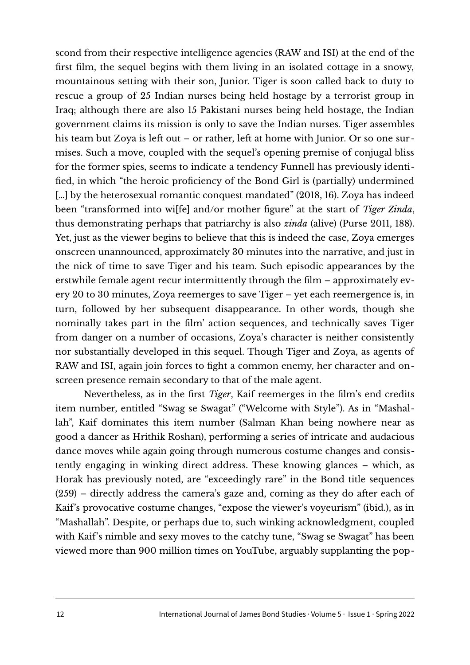scond from their respective intelligence agencies (RAW and ISI) at the end of the frst flm, the sequel begins with them living in an isolated cottage in a snowy, mountainous setting with their son, Junior. Tiger is soon called back to duty to rescue a group of 25 Indian nurses being held hostage by a terrorist group in Iraq; although there are also 15 Pakistani nurses being held hostage, the Indian government claims its mission is only to save the Indian nurses. Tiger assembles his team but Zoya is left out – or rather, left at home with Junior. Or so one surmises. Such a move, coupled with the sequel's opening premise of conjugal bliss for the former spies, seems to indicate a tendency Funnell has previously identifed, in which "the heroic profciency of the Bond Girl is (partially) undermined [...] by the heterosexual romantic conquest mandated" (2018, 16). Zoya has indeed been "transformed into wi[fe] and/or mother fgure" at the start of *Tiger Zinda*, thus demonstrating perhaps that patriarchy is also *zinda* (alive) (Purse 2011, 188). Yet, just as the viewer begins to believe that this is indeed the case, Zoya emerges onscreen unannounced, approximately 30 minutes into the narrative, and just in the nick of time to save Tiger and his team. Such episodic appearances by the erstwhile female agent recur intermittently through the flm – approximately every 20 to 30 minutes, Zoya reemerges to save Tiger – yet each reemergence is, in turn, followed by her subsequent disappearance. In other words, though she nominally takes part in the flm' action sequences, and technically saves Tiger from danger on a number of occasions, Zoya's character is neither consistently nor substantially developed in this sequel. Though Tiger and Zoya, as agents of RAW and ISI, again join forces to fght a common enemy, her character and onscreen presence remain secondary to that of the male agent.

Nevertheless, as in the frst *Tiger*, Kaif reemerges in the flm's end credits item number, entitled "Swag se Swagat" ("Welcome with Style"). As in "Mashallah", Kaif dominates this item number (Salman Khan being nowhere near as good a dancer as Hrithik Roshan), performing a series of intricate and audacious dance moves while again going through numerous costume changes and consistently engaging in winking direct address. These knowing glances – which, as Horak has previously noted, are "exceedingly rare" in the Bond title sequences  $(259)$  – directly address the camera's gaze and, coming as they do after each of Kaif's provocative costume changes, "expose the viewer's voyeurism" (ibid.), as in "Mashallah". Despite, or perhaps due to, such winking acknowledgment, coupled with Kaif's nimble and sexy moves to the catchy tune, "Swag se Swagat" has been viewed more than 900 million times on YouTube, arguably supplanting the pop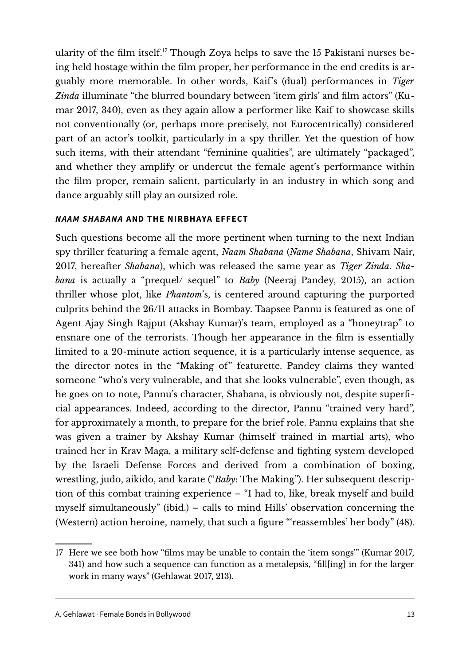ularity of the film itself.<sup>[17](#page-12-0)</sup> Though Zoya helps to save the 15 Pakistani nurses being held hostage within the flm proper, her performance in the end credits is arguably more memorable. In other words, Kaif's (dual) performances in *Tiger Zinda* illuminate "the blurred boundary between 'item girls' and flm actors" (Kumar 2017, 340), even as they again allow a performer like Kaif to showcase skills not conventionally (or, perhaps more precisely, not Eurocentrically) considered part of an actor's toolkit, particularly in a spy thriller. Yet the question of how such items, with their attendant "feminine qualities", are ultimately "packaged", and whether they amplify or undercut the female agent's performance within the flm proper, remain salient, particularly in an industry in which song and dance arguably still play an outsized role.

## *NAAM SHABANA* **AND THE NIRBHAYA EFFECT**

Such questions become all the more pertinent when turning to the next Indian spy thriller featuring a female agent, *Naam Shabana* (*Name Shabana*, Shivam Nair, 2017, hereafer *Shabana*), which was released the same year as *Tiger Zinda*. *Shabana* is actually a "prequel/ sequel" to *Baby* (Neeraj Pandey, 2015), an action thriller whose plot, like *Phantom*'s, is centered around capturing the purported culprits behind the 26/11 attacks in Bombay. Taapsee Pannu is featured as one of Agent Ajay Singh Rajput (Akshay Kumar)'s team, employed as a "honeytrap" to ensnare one of the terrorists. Though her appearance in the flm is essentially limited to a 20-minute action sequence, it is a particularly intense sequence, as the director notes in the "Making of" featurette. Pandey claims they wanted someone "who's very vulnerable, and that she looks vulnerable", even though, as he goes on to note, Pannu's character, Shabana, is obviously not, despite superfcial appearances. Indeed, according to the director, Pannu "trained very hard", for approximately a month, to prepare for the brief role. Pannu explains that she was given a trainer by Akshay Kumar (himself trained in martial arts), who trained her in Krav Maga, a military self-defense and fghting system developed by the Israeli Defense Forces and derived from a combination of boxing, wrestling, judo, aikido, and karate ("*Baby*: The Making"). Her subsequent description of this combat training experience – "I had to, like, break myself and build myself simultaneously" (ibid.) – calls to mind Hills' observation concerning the (Western) action heroine, namely, that such a fgure "'reassembles' her body" (48).

<span id="page-12-0"></span><sup>17</sup> Here we see both how "flms may be unable to contain the 'item songs'" (Kumar 2017, 341) and how such a sequence can function as a metalepsis, "fll[ing] in for the larger work in many ways" (Gehlawat 2017, 213).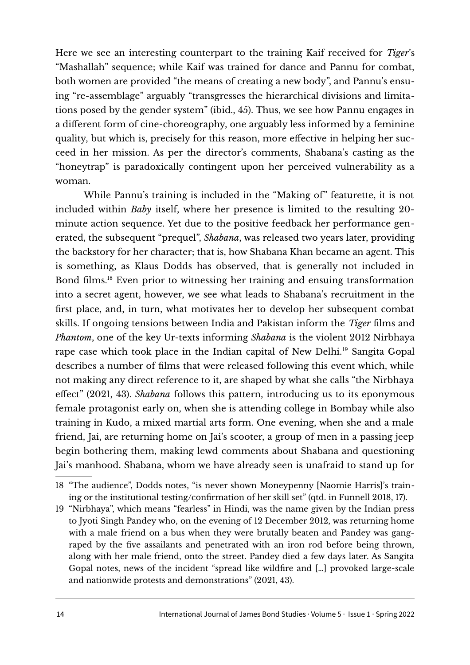Here we see an interesting counterpart to the training Kaif received for *Tiger*'s "Mashallah" sequence; while Kaif was trained for dance and Pannu for combat, both women are provided "the means of creating a new body", and Pannu's ensuing "re-assemblage" arguably "transgresses the hierarchical divisions and limitations posed by the gender system" (ibid., 45). Thus, we see how Pannu engages in a diferent form of cine-choreography, one arguably less informed by a feminine quality, but which is, precisely for this reason, more efective in helping her succeed in her mission. As per the director's comments, Shabana's casting as the "honeytrap" is paradoxically contingent upon her perceived vulnerability as a woman.

While Pannu's training is included in the "Making of" featurette, it is not included within *Baby* itself, where her presence is limited to the resulting 20 minute action sequence. Yet due to the positive feedback her performance generated, the subsequent "prequel", *Shabana*, was released two years later, providing the backstory for her character; that is, how Shabana Khan became an agent. This is something, as Klaus Dodds has observed, that is generally not included in Bond flms.[18](#page-13-0) Even prior to witnessing her training and ensuing transformation into a secret agent, however, we see what leads to Shabana's recruitment in the frst place, and, in turn, what motivates her to develop her subsequent combat skills. If ongoing tensions between India and Pakistan inform the *Tiger* flms and *Phantom*, one of the key Ur-texts informing *Shabana* is the violent 2012 Nirbhaya rape case which took place in the Indian capital of New Delhi.[19](#page-13-1) Sangita Gopal describes a number of flms that were released following this event which, while not making any direct reference to it, are shaped by what she calls "the Nirbhaya efect" (2021, 43). *Shabana* follows this pattern, introducing us to its eponymous female protagonist early on, when she is attending college in Bombay while also training in Kudo, a mixed martial arts form. One evening, when she and a male friend, Jai, are returning home on Jai's scooter, a group of men in a passing jeep begin bothering them, making lewd comments about Shabana and questioning Jai's manhood. Shabana, whom we have already seen is unafraid to stand up for

<span id="page-13-1"></span>19 "Nirbhaya", which means "fearless" in Hindi, was the name given by the Indian press to Jyoti Singh Pandey who, on the evening of 12 December 2012, was returning home with a male friend on a bus when they were brutally beaten and Pandey was gangraped by the five assailants and penetrated with an iron rod before being thrown, along with her male friend, onto the street. Pandey died a few days later. As Sangita Gopal notes, news of the incident "spread like wildfre and […] provoked large-scale and nationwide protests and demonstrations" (2021, 43).

<span id="page-13-0"></span><sup>18</sup> "The audience", Dodds notes, "is never shown Moneypenny [Naomie Harris]'s training or the institutional testing/confrmation of her skill set" (qtd. in Funnell 2018, 17).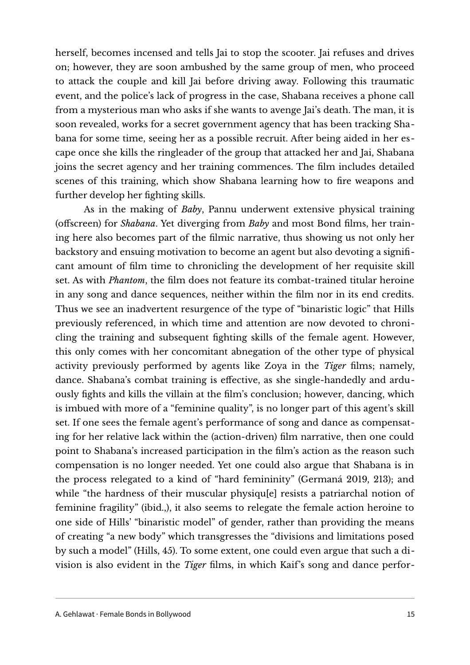herself, becomes incensed and tells Jai to stop the scooter. Jai refuses and drives on; however, they are soon ambushed by the same group of men, who proceed to attack the couple and kill Jai before driving away. Following this traumatic event, and the police's lack of progress in the case, Shabana receives a phone call from a mysterious man who asks if she wants to avenge Jai's death. The man, it is soon revealed, works for a secret government agency that has been tracking Shabana for some time, seeing her as a possible recruit. Afer being aided in her escape once she kills the ringleader of the group that attacked her and Jai, Shabana joins the secret agency and her training commences. The flm includes detailed scenes of this training, which show Shabana learning how to fre weapons and further develop her fghting skills.

As in the making of *Baby*, Pannu underwent extensive physical training (ofscreen) for *Shabana*. Yet diverging from *Baby* and most Bond flms, her training here also becomes part of the flmic narrative, thus showing us not only her backstory and ensuing motivation to become an agent but also devoting a signifcant amount of flm time to chronicling the development of her requisite skill set. As with *Phantom*, the flm does not feature its combat-trained titular heroine in any song and dance sequences, neither within the flm nor in its end credits. Thus we see an inadvertent resurgence of the type of "binaristic logic" that Hills previously referenced, in which time and attention are now devoted to chronicling the training and subsequent fghting skills of the female agent. However, this only comes with her concomitant abnegation of the other type of physical activity previously performed by agents like Zoya in the *Tiger* films; namely, dance. Shabana's combat training is efective, as she single-handedly and arduously fights and kills the villain at the film's conclusion; however, dancing, which is imbued with more of a "feminine quality", is no longer part of this agent's skill set. If one sees the female agent's performance of song and dance as compensating for her relative lack within the (action-driven) flm narrative, then one could point to Shabana's increased participation in the flm's action as the reason such compensation is no longer needed. Yet one could also argue that Shabana is in the process relegated to a kind of "hard femininity" (Germaná 2019, 213); and while "the hardness of their muscular physiqu[e] resists a patriarchal notion of feminine fragility" (ibid.,), it also seems to relegate the female action heroine to one side of Hills' "binaristic model" of gender, rather than providing the means of creating "a new body" which transgresses the "divisions and limitations posed by such a model" (Hills, 45). To some extent, one could even argue that such a division is also evident in the *Tiger* flms, in which Kaif's song and dance perfor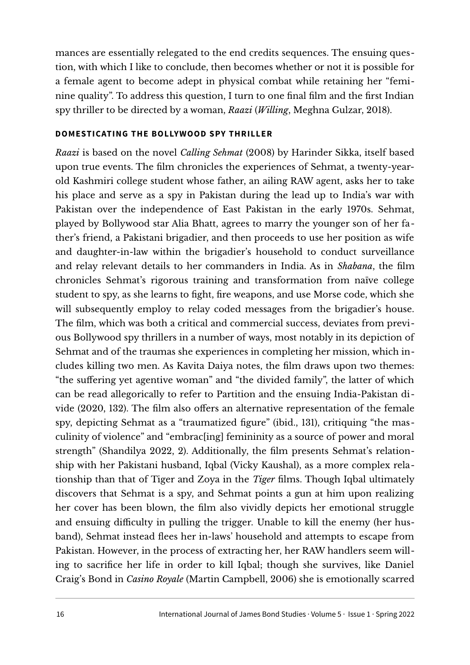mances are essentially relegated to the end credits sequences. The ensuing question, with which I like to conclude, then becomes whether or not it is possible for a female agent to become adept in physical combat while retaining her "feminine quality". To address this question, I turn to one fnal flm and the frst Indian spy thriller to be directed by a woman, *Raazi* (*Willing*, Meghna Gulzar, 2018).

#### **DOMESTICATING THE BOLLYWOOD SPY THRILLER**

*Raazi* is based on the novel *Calling Sehmat* (2008) by Harinder Sikka, itself based upon true events. The flm chronicles the experiences of Sehmat, a twenty-yearold Kashmiri college student whose father, an ailing RAW agent, asks her to take his place and serve as a spy in Pakistan during the lead up to India's war with Pakistan over the independence of East Pakistan in the early 1970s. Sehmat, played by Bollywood star Alia Bhatt, agrees to marry the younger son of her father's friend, a Pakistani brigadier, and then proceeds to use her position as wife and daughter-in-law within the brigadier's household to conduct surveillance and relay relevant details to her commanders in India. As in *Shabana*, the flm chronicles Sehmat's rigorous training and transformation from naïve college student to spy, as she learns to fght, fre weapons, and use Morse code, which she will subsequently employ to relay coded messages from the brigadier's house. The flm, which was both a critical and commercial success, deviates from previous Bollywood spy thrillers in a number of ways, most notably in its depiction of Sehmat and of the traumas she experiences in completing her mission, which includes killing two men. As Kavita Daiya notes, the flm draws upon two themes: "the sufering yet agentive woman" and "the divided family", the latter of which can be read allegorically to refer to Partition and the ensuing India-Pakistan divide (2020, 132). The film also offers an alternative representation of the female spy, depicting Sehmat as a "traumatized fgure" (ibid., 131), critiquing "the masculinity of violence" and "embrac[ing] femininity as a source of power and moral strength" (Shandilya 2022, 2). Additionally, the flm presents Sehmat's relationship with her Pakistani husband, Iqbal (Vicky Kaushal), as a more complex relationship than that of Tiger and Zoya in the *Tiger* flms. Though Iqbal ultimately discovers that Sehmat is a spy, and Sehmat points a gun at him upon realizing her cover has been blown, the flm also vividly depicts her emotional struggle and ensuing difficulty in pulling the trigger. Unable to kill the enemy (her husband), Sehmat instead fees her in-laws' household and attempts to escape from Pakistan. However, in the process of extracting her, her RAW handlers seem willing to sacrifice her life in order to kill Iqbal; though she survives, like Daniel Craig's Bond in *Casino Royale* (Martin Campbell, 2006) she is emotionally scarred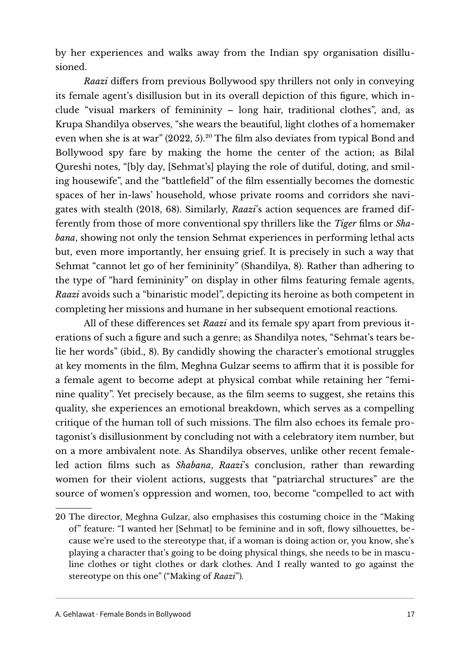by her experiences and walks away from the Indian spy organisation disillusioned.

*Raazi* difers from previous Bollywood spy thrillers not only in conveying its female agent's disillusion but in its overall depiction of this fgure, which include "visual markers of femininity – long hair, traditional clothes", and, as Krupa Shandilya observes, "she wears the beautiful, light clothes of a homemaker even when she is at war" ([20](#page-16-0)22, 5).<sup>20</sup> The film also deviates from typical Bond and Bollywood spy fare by making the home the center of the action; as Bilal Qureshi notes, "[b]y day, [Sehmat's] playing the role of dutiful, doting, and smiling housewife", and the "battlefeld" of the flm essentially becomes the domestic spaces of her in-laws' household, whose private rooms and corridors she navigates with stealth (2018, 68). Similarly, *Raazi*'s action sequences are framed differently from those of more conventional spy thrillers like the *Tiger* flms or *Shabana*, showing not only the tension Sehmat experiences in performing lethal acts but, even more importantly, her ensuing grief. It is precisely in such a way that Sehmat "cannot let go of her femininity" (Shandilya, 8). Rather than adhering to the type of "hard femininity" on display in other flms featuring female agents, *Raazi* avoids such a "binaristic model", depicting its heroine as both competent in completing her missions and humane in her subsequent emotional reactions.

All of these diferences set *Raazi* and its female spy apart from previous iterations of such a figure and such a genre; as Shandilya notes, "Sehmat's tears belie her words" (ibid., 8). By candidly showing the character's emotional struggles at key moments in the film, Meghna Gulzar seems to affirm that it is possible for a female agent to become adept at physical combat while retaining her "feminine quality". Yet precisely because, as the flm seems to suggest, she retains this quality, she experiences an emotional breakdown, which serves as a compelling critique of the human toll of such missions. The flm also echoes its female protagonist's disillusionment by concluding not with a celebratory item number, but on a more ambivalent note. As Shandilya observes, unlike other recent femaleled action flms such as *Shabana*, *Raazi*'s conclusion, rather than rewarding women for their violent actions, suggests that "patriarchal structures" are the source of women's oppression and women, too, become "compelled to act with

<span id="page-16-0"></span><sup>20</sup> The director, Meghna Gulzar, also emphasises this costuming choice in the "Making of" feature: "I wanted her [Sehmat] to be feminine and in soft, flowy silhouettes, because we're used to the stereotype that, if a woman is doing action or, you know, she's playing a character that's going to be doing physical things, she needs to be in masculine clothes or tight clothes or dark clothes. And I really wanted to go against the stereotype on this one" ("Making of *Raazi*").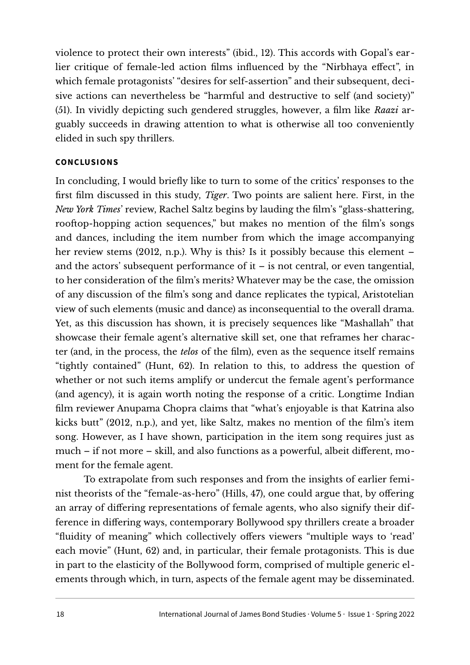violence to protect their own interests" (ibid., 12). This accords with Gopal's earlier critique of female-led action flms infuenced by the "Nirbhaya efect", in which female protagonists' "desires for self-assertion" and their subsequent, decisive actions can nevertheless be "harmful and destructive to self (and society)" (51). In vividly depicting such gendered struggles, however, a flm like *Raazi* arguably succeeds in drawing attention to what is otherwise all too conveniently elided in such spy thrillers.

#### **CONCLUSIONS**

In concluding, I would briefy like to turn to some of the critics' responses to the frst flm discussed in this study, *Tiger*. Two points are salient here. First, in the *New York Times*' review, Rachel Saltz begins by lauding the flm's "glass-shattering, rooftop-hopping action sequences," but makes no mention of the film's songs and dances, including the item number from which the image accompanying her review stems (2012, n.p.). Why is this? Is it possibly because this element – and the actors' subsequent performance of  $it - is$  not central, or even tangential, to her consideration of the flm's merits? Whatever may be the case, the omission of any discussion of the flm's song and dance replicates the typical, Aristotelian view of such elements (music and dance) as inconsequential to the overall drama. Yet, as this discussion has shown, it is precisely sequences like "Mashallah" that showcase their female agent's alternative skill set, one that reframes her character (and, in the process, the *telos* of the flm), even as the sequence itself remains "tightly contained" (Hunt, 62). In relation to this, to address the question of whether or not such items amplify or undercut the female agent's performance (and agency), it is again worth noting the response of a critic. Longtime Indian flm reviewer Anupama Chopra claims that "what's enjoyable is that Katrina also kicks butt" (2012, n.p.), and yet, like Saltz, makes no mention of the flm's item song. However, as I have shown, participation in the item song requires just as much – if not more – skill, and also functions as a powerful, albeit diferent, moment for the female agent.

To extrapolate from such responses and from the insights of earlier feminist theorists of the "female-as-hero" (Hills, 47), one could argue that, by ofering an array of difering representations of female agents, who also signify their difference in difering ways, contemporary Bollywood spy thrillers create a broader "fluidity of meaning" which collectively offers viewers "multiple ways to 'read' each movie" (Hunt, 62) and, in particular, their female protagonists. This is due in part to the elasticity of the Bollywood form, comprised of multiple generic elements through which, in turn, aspects of the female agent may be disseminated.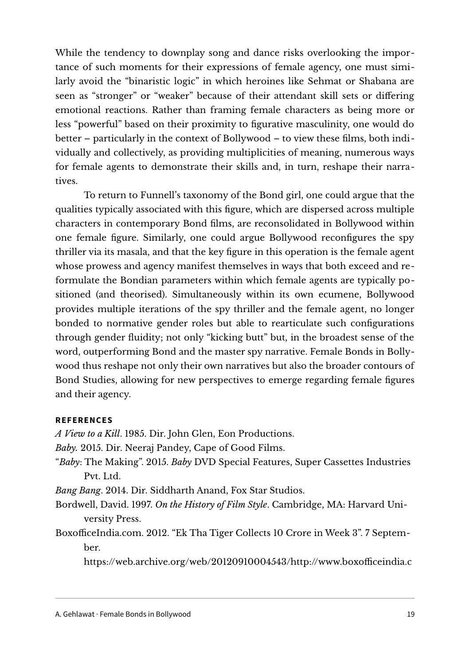While the tendency to downplay song and dance risks overlooking the importance of such moments for their expressions of female agency, one must similarly avoid the "binaristic logic" in which heroines like Sehmat or Shabana are seen as "stronger" or "weaker" because of their attendant skill sets or difering emotional reactions. Rather than framing female characters as being more or less "powerful" based on their proximity to fgurative masculinity, one would do better – particularly in the context of Bollywood – to view these flms, both individually and collectively, as providing multiplicities of meaning, numerous ways for female agents to demonstrate their skills and, in turn, reshape their narratives.

To return to Funnell's taxonomy of the Bond girl, one could argue that the qualities typically associated with this fgure, which are dispersed across multiple characters in contemporary Bond flms, are reconsolidated in Bollywood within one female fgure. Similarly, one could argue Bollywood reconfgures the spy thriller via its masala, and that the key fgure in this operation is the female agent whose prowess and agency manifest themselves in ways that both exceed and reformulate the Bondian parameters within which female agents are typically positioned (and theorised). Simultaneously within its own ecumene, Bollywood provides multiple iterations of the spy thriller and the female agent, no longer bonded to normative gender roles but able to rearticulate such confgurations through gender fluidity; not only "kicking butt" but, in the broadest sense of the word, outperforming Bond and the master spy narrative. Female Bonds in Bollywood thus reshape not only their own narratives but also the broader contours of Bond Studies, allowing for new perspectives to emerge regarding female fgures and their agency.

## **REFERENCES**

*A View to a Kill*. 1985. Dir. John Glen, Eon Productions.

*Baby.* 2015. Dir. Neeraj Pandey, Cape of Good Films.

"*Baby*: The Making". 2015. *Baby* DVD Special Features, Super Cassettes Industries Pvt. Ltd.

*Bang Bang*. 2014. Dir. Siddharth Anand, Fox Star Studios.

- Bordwell, David. 1997. *On the History of Film Style*. Cambridge, MA: Harvard University Press.
- BoxofficeIndia.com. 2012. "Ek Tha Tiger Collects 10 Crore in Week 3". 7 September.

https://web.archive.org/web/20120910004543/http://www.boxofficeindia.c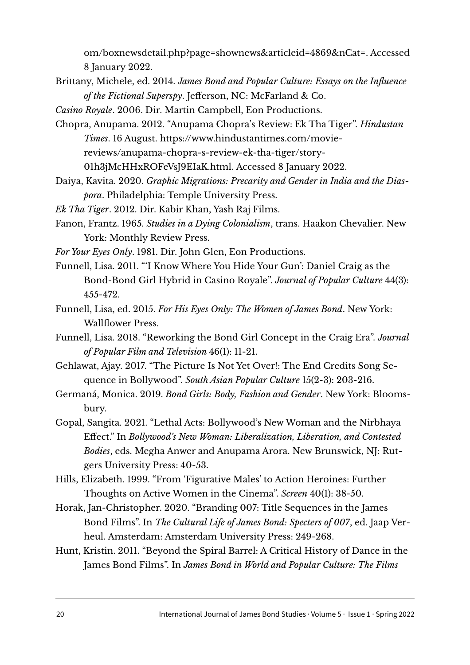[om/boxnewsdetail.php?page=shownews&articleid=4869&nCat=.](https://web.archive.org/web/20120910004543/http:/www.boxofficeindia.com/boxnews%09detail.php?page=shownews&articleid=4869&nCat=) Accessed 8 January 2022.

- Brittany, Michele, ed. 2014. *James Bond and Popular Culture: Essays on the Infuence of the Fictional Superspy*. Jeferson, NC: McFarland & Co.
- *Casino Royale*. 2006. Dir. Martin Campbell, Eon Productions.
- Chopra, Anupama. 2012. "Anupama Chopra's Review: Ek Tha Tiger". *Hindustan Times*. 16 August. [https://www.hindustantimes.com/movie](https://www.hindustantimes.com/movie-reviews/anupama-chopra-s-review-ek%09tha-tiger/story-01h3jMcHHxROFeVsJ9EIaK.html)[reviews/anupama-chopra-s-review-ek-tha-tiger/story-](https://www.hindustantimes.com/movie-reviews/anupama-chopra-s-review-ek%09tha-tiger/story-01h3jMcHHxROFeVsJ9EIaK.html)

[01h3jMcHHxROFeVsJ9EIaK.html.](https://www.hindustantimes.com/movie-reviews/anupama-chopra-s-review-ek%09tha-tiger/story-01h3jMcHHxROFeVsJ9EIaK.html) Accessed 8 January 2022.

- Daiya, Kavita. 2020. *Graphic Migrations: Precarity and Gender in India and the Diaspora*. Philadelphia: Temple University Press.
- *Ek Tha Tiger*. 2012. Dir. Kabir Khan, Yash Raj Films.
- Fanon, Frantz. 1965. *Studies in a Dying Colonialism*, trans. Haakon Chevalier. New York: Monthly Review Press.
- *For Your Eyes Only*. 1981. Dir. John Glen, Eon Productions.
- Funnell, Lisa. 2011. "'I Know Where You Hide Your Gun': Daniel Craig as the Bond-Bond Girl Hybrid in Casino Royale". *Journal of Popular Culture* 44(3): 455-472.
- Funnell, Lisa, ed. 2015. *For His Eyes Only: The Women of James Bond*. New York: Wallfower Press.
- Funnell, Lisa. 2018. "Reworking the Bond Girl Concept in the Craig Era". *Journal of Popular Film and Television* 46(1): 11-21.
- Gehlawat, Ajay. 2017. "The Picture Is Not Yet Over!: The End Credits Song Sequence in Bollywood". *South Asian Popular Culture* 15(2-3): 203-216.
- Germaná, Monica. 2019. *Bond Girls: Body, Fashion and Gender*. New York: Bloomsbury.
- Gopal, Sangita. 2021. "Lethal Acts: Bollywood's New Woman and the Nirbhaya Efect." In *Bollywood's New Woman: Liberalization, Liberation, and Contested Bodies*, eds. Megha Anwer and Anupama Arora. New Brunswick, NJ: Rutgers University Press: 40-53.
- Hills, Elizabeth. 1999. "From 'Figurative Males' to Action Heroines: Further Thoughts on Active Women in the Cinema". *Screen* 40(1): 38-50.
- Horak, Jan-Christopher. 2020. "Branding 007: Title Sequences in the James Bond Films". In *The Cultural Life of James Bond: Specters of 007*, ed. Jaap Verheul. Amsterdam: Amsterdam University Press: 249-268.
- Hunt, Kristin. 2011. "Beyond the Spiral Barrel: A Critical History of Dance in the James Bond Films". In *James Bond in World and Popular Culture: The Films*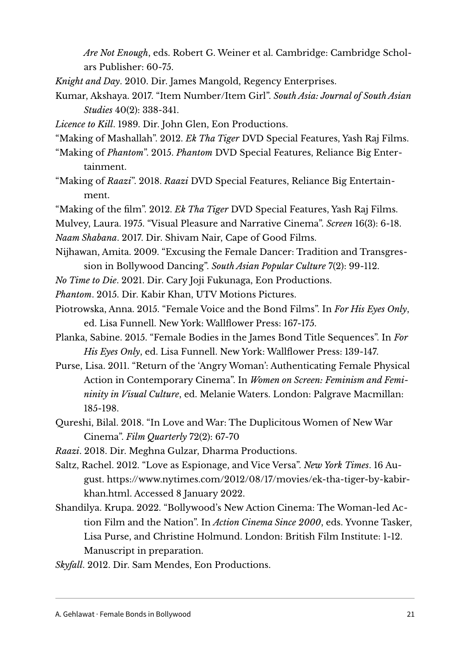*Are Not Enough*, eds. Robert G. Weiner et al. Cambridge: Cambridge Scholars Publisher: 60-75.

- *Knight and Day*. 2010. Dir. James Mangold, Regency Enterprises.
- Kumar, Akshaya. 2017. "Item Number/Item Girl". *South Asia: Journal of South Asian Studies* 40(2): 338-341.
- *Licence to Kill*. 1989. Dir. John Glen, Eon Productions.
- "Making of Mashallah". 2012. *Ek Tha Tiger* DVD Special Features, Yash Raj Films.
- "Making of *Phantom*". 2015. *Phantom* DVD Special Features, Reliance Big Entertainment.
- "Making of *Raazi*". 2018. *Raazi* DVD Special Features, Reliance Big Entertainment.
- "Making of the flm". 2012. *Ek Tha Tiger* DVD Special Features, Yash Raj Films.
- Mulvey, Laura. 1975. "Visual Pleasure and Narrative Cinema". *Screen* 16(3): 6-18.

*Naam Shabana*. 2017. Dir. Shivam Nair, Cape of Good Films.

- Nijhawan, Amita. 2009. "Excusing the Female Dancer: Tradition and Transgression in Bollywood Dancing". *South Asian Popular Culture* 7(2): 99-112.
- *No Time to Die*. 2021. Dir. Cary Joji Fukunaga, Eon Productions.
- *Phantom*. 2015. Dir. Kabir Khan, UTV Motions Pictures.
- Piotrowska, Anna. 2015. "Female Voice and the Bond Films". In *For His Eyes Only*, ed. Lisa Funnell. New York: Wallfower Press: 167-175.
- Planka, Sabine. 2015. "Female Bodies in the James Bond Title Sequences". In *For His Eyes Only*, ed. Lisa Funnell. New York: Wallfower Press: 139-147.
- Purse, Lisa. 2011. "Return of the 'Angry Woman': Authenticating Female Physical Action in Contemporary Cinema". In *Women on Screen: Feminism and Femininity in Visual Culture*, ed. Melanie Waters. London: Palgrave Macmillan: 185-198.
- Qureshi, Bilal. 2018. "In Love and War: The Duplicitous Women of New War Cinema". *Film Quarterly* 72(2): 67-70
- *Raazi*. 2018. Dir. Meghna Gulzar, Dharma Productions.
- Saltz, Rachel. 2012. "Love as Espionage, and Vice Versa". *New York Times*. 16 August. [https://www.nytimes.com/2012/08/17/movies/ek-tha-tiger-by-kabir](https://www.nytimes.com/2012/08/17/movies/ek-tha-tiger-by-kabir-khan.html)[khan.html.](https://www.nytimes.com/2012/08/17/movies/ek-tha-tiger-by-kabir-khan.html) Accessed 8 January 2022.
- Shandilya. Krupa. 2022. "Bollywood's New Action Cinema: The Woman-led Action Film and the Nation". In *Action Cinema Since 2000*, eds. Yvonne Tasker, Lisa Purse, and Christine Holmund. London: British Film Institute: 1-12. Manuscript in preparation.
- *Skyfall*. 2012. Dir. Sam Mendes, Eon Productions.